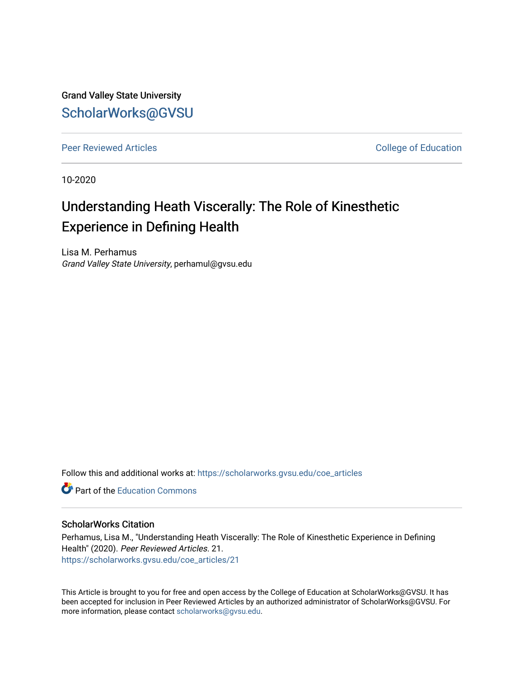Grand Valley State University [ScholarWorks@GVSU](https://scholarworks.gvsu.edu/) 

[Peer Reviewed Articles](https://scholarworks.gvsu.edu/coe_articles) **College of Education** 

10-2020

# Understanding Heath Viscerally: The Role of Kinesthetic Experience in Defining Health

Lisa M. Perhamus Grand Valley State University, perhamul@gvsu.edu

Follow this and additional works at: [https://scholarworks.gvsu.edu/coe\\_articles](https://scholarworks.gvsu.edu/coe_articles?utm_source=scholarworks.gvsu.edu%2Fcoe_articles%2F21&utm_medium=PDF&utm_campaign=PDFCoverPages) 

**C** Part of the [Education Commons](http://network.bepress.com/hgg/discipline/784?utm_source=scholarworks.gvsu.edu%2Fcoe_articles%2F21&utm_medium=PDF&utm_campaign=PDFCoverPages)

#### ScholarWorks Citation

Perhamus, Lisa M., "Understanding Heath Viscerally: The Role of Kinesthetic Experience in Defining Health" (2020). Peer Reviewed Articles. 21. [https://scholarworks.gvsu.edu/coe\\_articles/21](https://scholarworks.gvsu.edu/coe_articles/21?utm_source=scholarworks.gvsu.edu%2Fcoe_articles%2F21&utm_medium=PDF&utm_campaign=PDFCoverPages)

This Article is brought to you for free and open access by the College of Education at ScholarWorks@GVSU. It has been accepted for inclusion in Peer Reviewed Articles by an authorized administrator of ScholarWorks@GVSU. For more information, please contact [scholarworks@gvsu.edu.](mailto:scholarworks@gvsu.edu)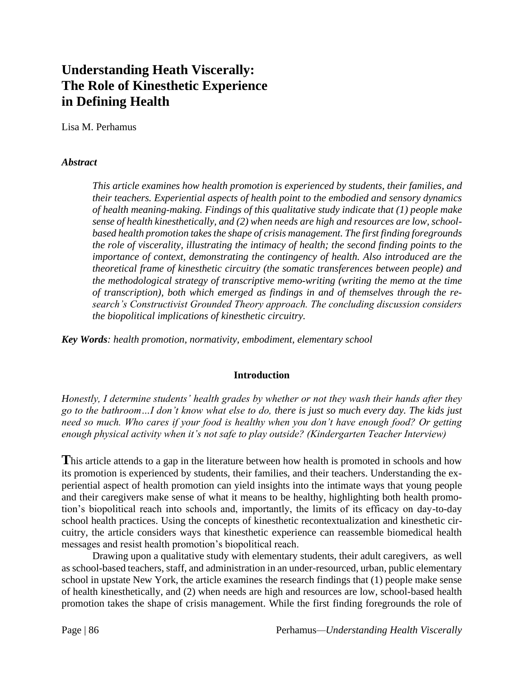## **Understanding Heath Viscerally: The Role of Kinesthetic Experience in Defining Health**

Lisa M. Perhamus

## *Abstract*

*This article examines how health promotion is experienced by students, their families, and their teachers. Experiential aspects of health point to the embodied and sensory dynamics of health meaning-making. Findings of this qualitative study indicate that (1) people make sense of health kinesthetically, and (2) when needs are high and resources are low, schoolbased health promotion takes the shape of crisis management. The first finding foregrounds the role of viscerality, illustrating the intimacy of health; the second finding points to the importance of context, demonstrating the contingency of health. Also introduced are the theoretical frame of kinesthetic circuitry (the somatic transferences between people) and the methodological strategy of transcriptive memo-writing (writing the memo at the time of transcription), both which emerged as findings in and of themselves through the research's Constructivist Grounded Theory approach. The concluding discussion considers the biopolitical implications of kinesthetic circuitry.*

*Key Words: health promotion, normativity, embodiment, elementary school*

## **Introduction**

*Honestly, I determine students' health grades by whether or not they wash their hands after they go to the bathroom…I don't know what else to do, there is just so much every day. The kids just need so much. Who cares if your food is healthy when you don't have enough food? Or getting enough physical activity when it's not safe to play outside? (Kindergarten Teacher Interview)*

**T**his article attends to a gap in the literature between how health is promoted in schools and how its promotion is experienced by students, their families, and their teachers. Understanding the experiential aspect of health promotion can yield insights into the intimate ways that young people and their caregivers make sense of what it means to be healthy, highlighting both health promotion's biopolitical reach into schools and, importantly, the limits of its efficacy on day-to-day school health practices. Using the concepts of kinesthetic recontextualization and kinesthetic circuitry, the article considers ways that kinesthetic experience can reassemble biomedical health messages and resist health promotion's biopolitical reach.

Drawing upon a qualitative study with elementary students, their adult caregivers, as well as school-based teachers, staff, and administration in an under-resourced, urban, public elementary school in upstate New York, the article examines the research findings that (1) people make sense of health kinesthetically, and (2) when needs are high and resources are low, school-based health promotion takes the shape of crisis management. While the first finding foregrounds the role of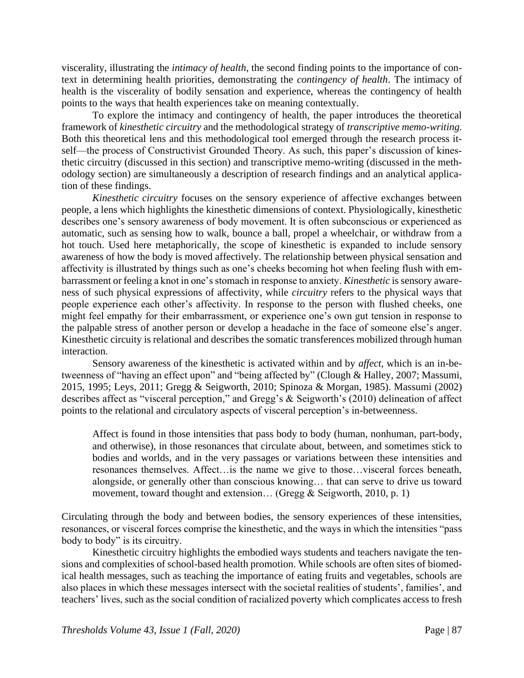viscerality, illustrating the *intimacy of health*, the second finding points to the importance of context in determining health priorities, demonstrating the *contingency of health*. The intimacy of health is the viscerality of bodily sensation and experience, whereas the contingency of health points to the ways that health experiences take on meaning contextually.

To explore the intimacy and contingency of health, the paper introduces the theoretical framework of *kinesthetic circuitry* and the methodological strategy of *transcriptive memo-writing.* Both this theoretical lens and this methodological tool emerged through the research process itself—the process of Constructivist Grounded Theory. As such, this paper's discussion of kinesthetic circuitry (discussed in this section) and transcriptive memo-writing (discussed in the methodology section) are simultaneously a description of research findings and an analytical application of these findings.

*Kinesthetic circuitry* focuses on the sensory experience of affective exchanges between people, a lens which highlights the kinesthetic dimensions of context. Physiologically, kinesthetic describes one's sensory awareness of body movement. It is often subconscious or experienced as automatic, such as sensing how to walk, bounce a ball, propel a wheelchair, or withdraw from a hot touch. Used here metaphorically, the scope of kinesthetic is expanded to include sensory awareness of how the body is moved affectively. The relationship between physical sensation and affectivity is illustrated by things such as one's cheeks becoming hot when feeling flush with embarrassment or feeling a knot in one's stomach in response to anxiety. *Kinesthetic* is sensory awareness of such physical expressions of affectivity, while *circuitry* refers to the physical ways that people experience each other's affectivity. In response to the person with flushed cheeks, one might feel empathy for their embarrassment, or experience one's own gut tension in response to the palpable stress of another person or develop a headache in the face of someone else's anger. Kinesthetic circuity is relational and describes the somatic transferences mobilized through human interaction.

Sensory awareness of the kinesthetic is activated within and by *affect*, which is an in-betweenness of "having an effect upon" and "being affected by" (Clough & Halley, 2007; Massumi, 2015, 1995; Leys, 2011; Gregg & Seigworth, 2010; Spinoza & Morgan, 1985). Massumi (2002) describes affect as "visceral perception," and Gregg's & Seigworth's (2010) delineation of affect points to the relational and circulatory aspects of visceral perception's in-betweenness.

Affect is found in those intensities that pass body to body (human, nonhuman, part-body, and otherwise), in those resonances that circulate about, between, and sometimes stick to bodies and worlds, and in the very passages or variations between these intensities and resonances themselves. Affect…is the name we give to those…visceral forces beneath, alongside, or generally other than conscious knowing… that can serve to drive us toward movement, toward thought and extension... (Gregg & Seigworth, 2010, p. 1)

Circulating through the body and between bodies, the sensory experiences of these intensities, resonances, or visceral forces comprise the kinesthetic, and the ways in which the intensities "pass body to body" is its circuitry.

Kinesthetic circuitry highlights the embodied ways students and teachers navigate the tensions and complexities of school-based health promotion. While schools are often sites of biomedical health messages, such as teaching the importance of eating fruits and vegetables, schools are also places in which these messages intersect with the societal realities of students', families', and teachers' lives, such as the social condition of racialized poverty which complicates access to fresh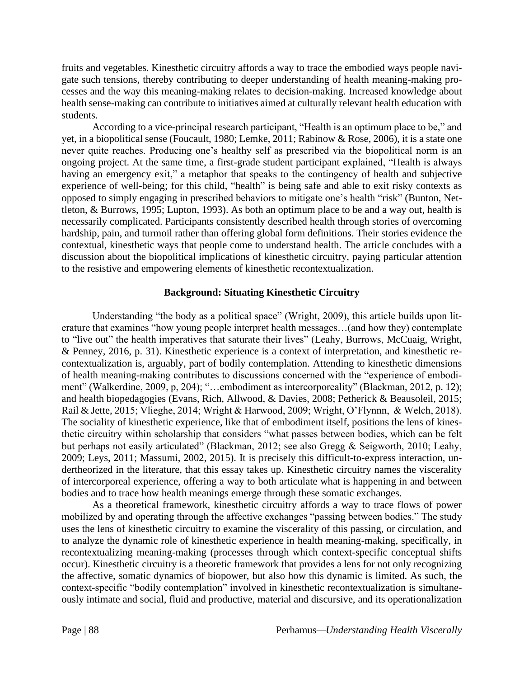fruits and vegetables. Kinesthetic circuitry affords a way to trace the embodied ways people navigate such tensions, thereby contributing to deeper understanding of health meaning-making processes and the way this meaning-making relates to decision-making. Increased knowledge about health sense-making can contribute to initiatives aimed at culturally relevant health education with students.

According to a vice-principal research participant, "Health is an optimum place to be," and yet, in a biopolitical sense (Foucault, 1980; Lemke, 2011; Rabinow & Rose, 2006), it is a state one never quite reaches. Producing one's healthy self as prescribed via the biopolitical norm is an ongoing project. At the same time, a first-grade student participant explained, "Health is always having an emergency exit," a metaphor that speaks to the contingency of health and subjective experience of well-being; for this child, "health" is being safe and able to exit risky contexts as opposed to simply engaging in prescribed behaviors to mitigate one's health "risk" (Bunton, Nettleton, & Burrows, 1995; Lupton, 1993). As both an optimum place to be and a way out, health is necessarily complicated. Participants consistently described health through stories of overcoming hardship, pain, and turmoil rather than offering global form definitions. Their stories evidence the contextual, kinesthetic ways that people come to understand health. The article concludes with a discussion about the biopolitical implications of kinesthetic circuitry, paying particular attention to the resistive and empowering elements of kinesthetic recontextualization.

## **Background: Situating Kinesthetic Circuitry**

Understanding "the body as a political space" (Wright, 2009), this article builds upon literature that examines "how young people interpret health messages…(and how they) contemplate to "live out" the health imperatives that saturate their lives" (Leahy, Burrows, McCuaig, Wright, & Penney, 2016, p. 31). Kinesthetic experience is a context of interpretation, and kinesthetic recontextualization is, arguably, part of bodily contemplation. Attending to kinesthetic dimensions of health meaning-making contributes to discussions concerned with the "experience of embodiment" (Walkerdine, 2009, p, 204); "…embodiment as intercorporeality" (Blackman, 2012, p. 12); and health biopedagogies (Evans, Rich, Allwood, & Davies, 2008; Petherick & Beausoleil, 2015; Rail & Jette, 2015; Vlieghe, 2014; Wright & Harwood, 2009; Wright, O'Flynnn, & Welch, 2018). The sociality of kinesthetic experience, like that of embodiment itself, positions the lens of kinesthetic circuitry within scholarship that considers "what passes between bodies, which can be felt but perhaps not easily articulated" (Blackman, 2012; see also Gregg & Seigworth, 2010; Leahy, 2009; Leys, 2011; Massumi, 2002, 2015). It is precisely this difficult-to-express interaction, undertheorized in the literature, that this essay takes up. Kinesthetic circuitry names the viscerality of intercorporeal experience, offering a way to both articulate what is happening in and between bodies and to trace how health meanings emerge through these somatic exchanges.

As a theoretical framework, kinesthetic circuitry affords a way to trace flows of power mobilized by and operating through the affective exchanges "passing between bodies." The study uses the lens of kinesthetic circuitry to examine the viscerality of this passing, or circulation, and to analyze the dynamic role of kinesthetic experience in health meaning-making, specifically, in recontextualizing meaning-making (processes through which context-specific conceptual shifts occur). Kinesthetic circuitry is a theoretic framework that provides a lens for not only recognizing the affective, somatic dynamics of biopower, but also how this dynamic is limited. As such, the context-specific "bodily contemplation" involved in kinesthetic recontextualization is simultaneously intimate and social, fluid and productive, material and discursive, and its operationalization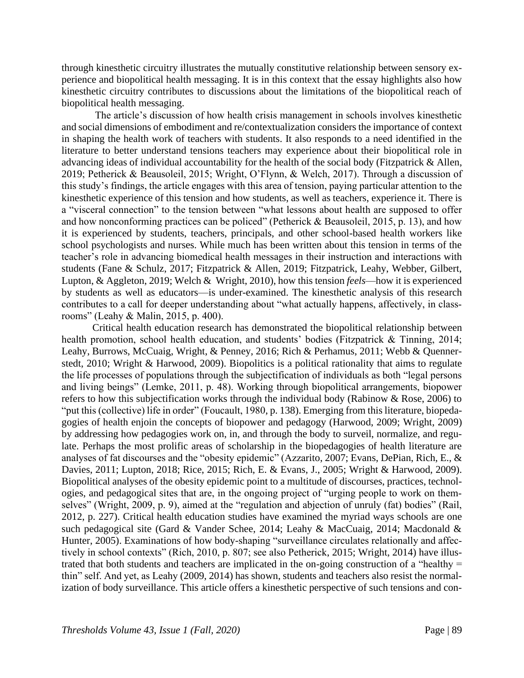through kinesthetic circuitry illustrates the mutually constitutive relationship between sensory experience and biopolitical health messaging. It is in this context that the essay highlights also how kinesthetic circuitry contributes to discussions about the limitations of the biopolitical reach of biopolitical health messaging.

The article's discussion of how health crisis management in schools involves kinesthetic and social dimensions of embodiment and re/contextualization considers the importance of context in shaping the health work of teachers with students. It also responds to a need identified in the literature to better understand tensions teachers may experience about their biopolitical role in advancing ideas of individual accountability for the health of the social body (Fitzpatrick & Allen, 2019; Petherick & Beausoleil, 2015; Wright, O'Flynn, & Welch, 2017). Through a discussion of this study's findings, the article engages with this area of tension, paying particular attention to the kinesthetic experience of this tension and how students, as well as teachers, experience it. There is a "visceral connection" to the tension between "what lessons about health are supposed to offer and how nonconforming practices can be policed" (Petherick & Beausoleil, 2015, p. 13), and how it is experienced by students, teachers, principals, and other school-based health workers like school psychologists and nurses. While much has been written about this tension in terms of the teacher's role in advancing biomedical health messages in their instruction and interactions with students (Fane & Schulz, 2017; Fitzpatrick & Allen, 2019; Fitzpatrick, Leahy, Webber, Gilbert, Lupton, & Aggleton, 2019; Welch & Wright, 2010), how this tension *feels*—how it is experienced by students as well as educators—is under-examined. The kinesthetic analysis of this research contributes to a call for deeper understanding about "what actually happens, affectively, in classrooms" (Leahy & Malin, 2015, p. 400).

Critical health education research has demonstrated the biopolitical relationship between health promotion, school health education, and students' bodies (Fitzpatrick & Tinning, 2014; Leahy, Burrows, McCuaig, Wright, & Penney, 2016; Rich & Perhamus, 2011; Webb & Quennerstedt, 2010; Wright & Harwood, 2009). Biopolitics is a political rationality that aims to regulate the life processes of populations through the subjectification of individuals as both "legal persons and living beings" (Lemke, 2011, p. 48). Working through biopolitical arrangements, biopower refers to how this subjectification works through the individual body (Rabinow & Rose, 2006) to "put this (collective) life in order" (Foucault, 1980, p. 138). Emerging from this literature, biopedagogies of health enjoin the concepts of biopower and pedagogy (Harwood, 2009; Wright, 2009) by addressing how pedagogies work on, in, and through the body to surveil, normalize, and regulate. Perhaps the most prolific areas of scholarship in the biopedagogies of health literature are analyses of fat discourses and the "obesity epidemic" (Azzarito, 2007; Evans, DePian, Rich, E., & Davies, 2011; Lupton, 2018; Rice, 2015; Rich, E. & Evans, J., 2005; Wright & Harwood, 2009). Biopolitical analyses of the obesity epidemic point to a multitude of discourses, practices, technologies, and pedagogical sites that are, in the ongoing project of "urging people to work on themselves" (Wright, 2009, p. 9), aimed at the "regulation and abjection of unruly (fat) bodies" (Rail, 2012, p. 227). Critical health education studies have examined the myriad ways schools are one such pedagogical site (Gard & Vander Schee, 2014; Leahy & MacCuaig, 2014; Macdonald & Hunter, 2005). Examinations of how body-shaping "surveillance circulates relationally and affectively in school contexts" (Rich, 2010, p. 807; see also Petherick, 2015; Wright, 2014) have illustrated that both students and teachers are implicated in the on-going construction of a "healthy = thin" self. And yet, as Leahy (2009, 2014) has shown, students and teachers also resist the normalization of body surveillance. This article offers a kinesthetic perspective of such tensions and con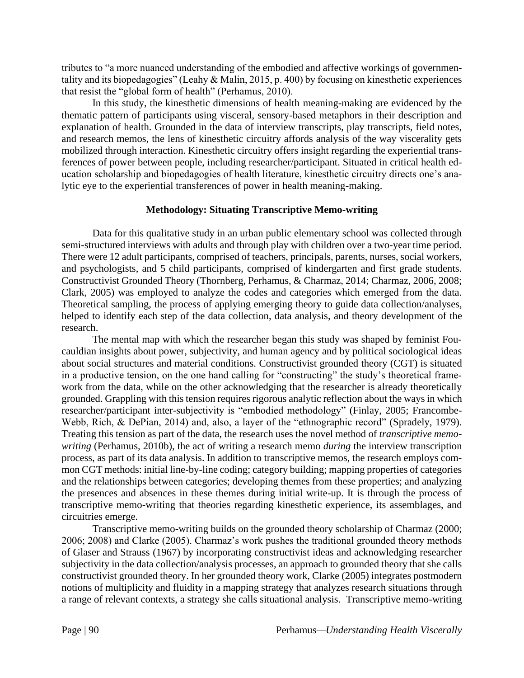tributes to "a more nuanced understanding of the embodied and affective workings of governmentality and its biopedagogies" (Leahy & Malin, 2015, p. 400) by focusing on kinesthetic experiences that resist the "global form of health" (Perhamus, 2010).

In this study, the kinesthetic dimensions of health meaning-making are evidenced by the thematic pattern of participants using visceral, sensory-based metaphors in their description and explanation of health. Grounded in the data of interview transcripts, play transcripts, field notes, and research memos, the lens of kinesthetic circuitry affords analysis of the way viscerality gets mobilized through interaction. Kinesthetic circuitry offers insight regarding the experiential transferences of power between people, including researcher/participant. Situated in critical health education scholarship and biopedagogies of health literature, kinesthetic circuitry directs one's analytic eye to the experiential transferences of power in health meaning-making.

## **Methodology: Situating Transcriptive Memo-writing**

Data for this qualitative study in an urban public elementary school was collected through semi-structured interviews with adults and through play with children over a two-year time period. There were 12 adult participants, comprised of teachers, principals, parents, nurses, social workers, and psychologists, and 5 child participants, comprised of kindergarten and first grade students. Constructivist Grounded Theory (Thornberg, Perhamus, & Charmaz, 2014; Charmaz, 2006, 2008; Clark, 2005) was employed to analyze the codes and categories which emerged from the data. Theoretical sampling, the process of applying emerging theory to guide data collection/analyses, helped to identify each step of the data collection, data analysis, and theory development of the research.

The mental map with which the researcher began this study was shaped by feminist Foucauldian insights about power, subjectivity, and human agency and by political sociological ideas about social structures and material conditions. Constructivist grounded theory (CGT) is situated in a productive tension, on the one hand calling for "constructing" the study's theoretical framework from the data, while on the other acknowledging that the researcher is already theoretically grounded. Grappling with this tension requires rigorous analytic reflection about the ways in which researcher/participant inter-subjectivity is "embodied methodology" (Finlay, 2005; Francombe-Webb, Rich, & DePian, 2014) and, also, a layer of the "ethnographic record" (Spradely, 1979). Treating this tension as part of the data, the research uses the novel method of *transcriptive memowriting* (Perhamus, 2010b), the act of writing a research memo *during* the interview transcription process, as part of its data analysis. In addition to transcriptive memos, the research employs common CGT methods: initial line-by-line coding; category building; mapping properties of categories and the relationships between categories; developing themes from these properties; and analyzing the presences and absences in these themes during initial write-up. It is through the process of transcriptive memo-writing that theories regarding kinesthetic experience, its assemblages, and circuitries emerge.

Transcriptive memo-writing builds on the grounded theory scholarship of Charmaz (2000; 2006; 2008) and Clarke (2005). Charmaz's work pushes the traditional grounded theory methods of Glaser and Strauss (1967) by incorporating constructivist ideas and acknowledging researcher subjectivity in the data collection/analysis processes, an approach to grounded theory that she calls constructivist grounded theory. In her grounded theory work, Clarke (2005) integrates postmodern notions of multiplicity and fluidity in a mapping strategy that analyzes research situations through a range of relevant contexts, a strategy she calls situational analysis. Transcriptive memo-writing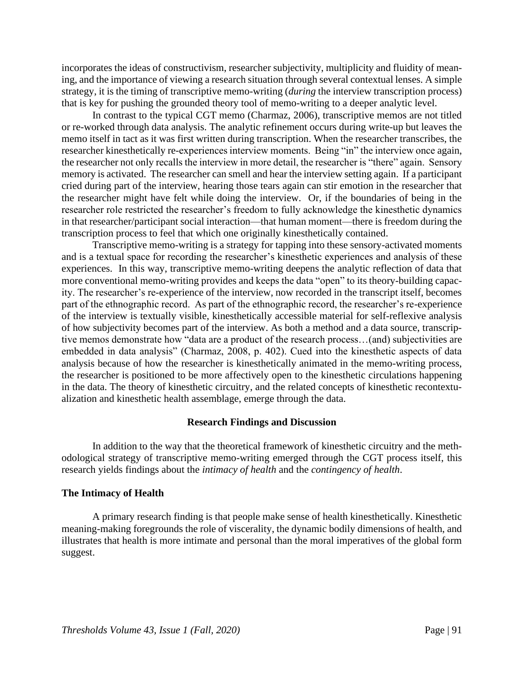incorporates the ideas of constructivism, researcher subjectivity, multiplicity and fluidity of meaning, and the importance of viewing a research situation through several contextual lenses. A simple strategy, it is the timing of transcriptive memo-writing (*during* the interview transcription process) that is key for pushing the grounded theory tool of memo-writing to a deeper analytic level.

In contrast to the typical CGT memo (Charmaz, 2006), transcriptive memos are not titled or re-worked through data analysis. The analytic refinement occurs during write-up but leaves the memo itself in tact as it was first written during transcription. When the researcher transcribes, the researcher kinesthetically re-experiences interview moments. Being "in" the interview once again, the researcher not only recalls the interview in more detail, the researcher is "there" again. Sensory memory is activated. The researcher can smell and hear the interview setting again. If a participant cried during part of the interview, hearing those tears again can stir emotion in the researcher that the researcher might have felt while doing the interview. Or, if the boundaries of being in the researcher role restricted the researcher's freedom to fully acknowledge the kinesthetic dynamics in that researcher/participant social interaction—that human moment—there is freedom during the transcription process to feel that which one originally kinesthetically contained.

Transcriptive memo-writing is a strategy for tapping into these sensory-activated moments and is a textual space for recording the researcher's kinesthetic experiences and analysis of these experiences. In this way, transcriptive memo-writing deepens the analytic reflection of data that more conventional memo-writing provides and keeps the data "open" to its theory-building capacity. The researcher's re-experience of the interview, now recorded in the transcript itself, becomes part of the ethnographic record. As part of the ethnographic record, the researcher's re-experience of the interview is textually visible, kinesthetically accessible material for self-reflexive analysis of how subjectivity becomes part of the interview. As both a method and a data source, transcriptive memos demonstrate how "data are a product of the research process…(and) subjectivities are embedded in data analysis" (Charmaz, 2008, p. 402). Cued into the kinesthetic aspects of data analysis because of how the researcher is kinesthetically animated in the memo-writing process, the researcher is positioned to be more affectively open to the kinesthetic circulations happening in the data. The theory of kinesthetic circuitry, and the related concepts of kinesthetic recontextualization and kinesthetic health assemblage, emerge through the data.

#### **Research Findings and Discussion**

In addition to the way that the theoretical framework of kinesthetic circuitry and the methodological strategy of transcriptive memo-writing emerged through the CGT process itself, this research yields findings about the *intimacy of health* and the *contingency of health*.

#### **The Intimacy of Health**

A primary research finding is that people make sense of health kinesthetically. Kinesthetic meaning-making foregrounds the role of viscerality, the dynamic bodily dimensions of health, and illustrates that health is more intimate and personal than the moral imperatives of the global form suggest.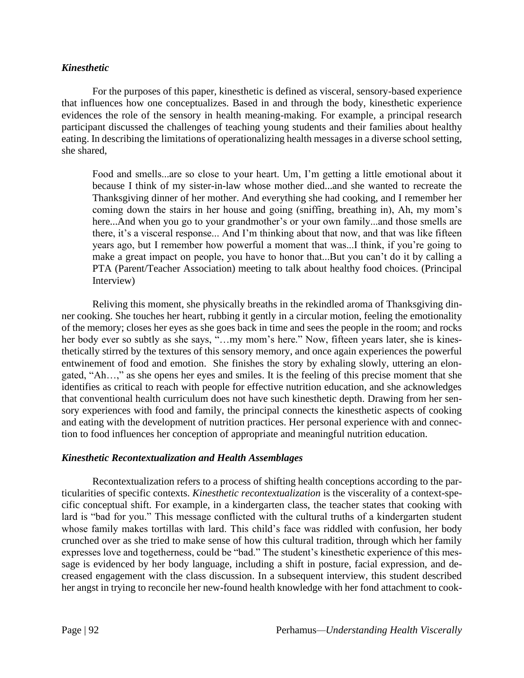## *Kinesthetic*

For the purposes of this paper, kinesthetic is defined as visceral, sensory-based experience that influences how one conceptualizes. Based in and through the body, kinesthetic experience evidences the role of the sensory in health meaning-making. For example, a principal research participant discussed the challenges of teaching young students and their families about healthy eating. In describing the limitations of operationalizing health messages in a diverse school setting, she shared,

Food and smells...are so close to your heart. Um, I'm getting a little emotional about it because I think of my sister-in-law whose mother died...and she wanted to recreate the Thanksgiving dinner of her mother. And everything she had cooking, and I remember her coming down the stairs in her house and going (sniffing, breathing in), Ah, my mom's here...And when you go to your grandmother's or your own family...and those smells are there, it's a visceral response... And I'm thinking about that now, and that was like fifteen years ago, but I remember how powerful a moment that was...I think, if you're going to make a great impact on people, you have to honor that...But you can't do it by calling a PTA (Parent/Teacher Association) meeting to talk about healthy food choices. (Principal Interview)

Reliving this moment, she physically breaths in the rekindled aroma of Thanksgiving dinner cooking. She touches her heart, rubbing it gently in a circular motion, feeling the emotionality of the memory; closes her eyes as she goes back in time and sees the people in the room; and rocks her body ever so subtly as she says, "...my mom's here." Now, fifteen years later, she is kinesthetically stirred by the textures of this sensory memory, and once again experiences the powerful entwinement of food and emotion. She finishes the story by exhaling slowly, uttering an elongated, "Ah…," as she opens her eyes and smiles. It is the feeling of this precise moment that she identifies as critical to reach with people for effective nutrition education, and she acknowledges that conventional health curriculum does not have such kinesthetic depth. Drawing from her sensory experiences with food and family, the principal connects the kinesthetic aspects of cooking and eating with the development of nutrition practices. Her personal experience with and connection to food influences her conception of appropriate and meaningful nutrition education.

## *Kinesthetic Recontextualization and Health Assemblages*

Recontextualization refers to a process of shifting health conceptions according to the particularities of specific contexts. *Kinesthetic recontextualization* is the viscerality of a context-specific conceptual shift. For example, in a kindergarten class, the teacher states that cooking with lard is "bad for you." This message conflicted with the cultural truths of a kindergarten student whose family makes tortillas with lard. This child's face was riddled with confusion, her body crunched over as she tried to make sense of how this cultural tradition, through which her family expresses love and togetherness, could be "bad." The student's kinesthetic experience of this message is evidenced by her body language, including a shift in posture, facial expression, and decreased engagement with the class discussion. In a subsequent interview, this student described her angst in trying to reconcile her new-found health knowledge with her fond attachment to cook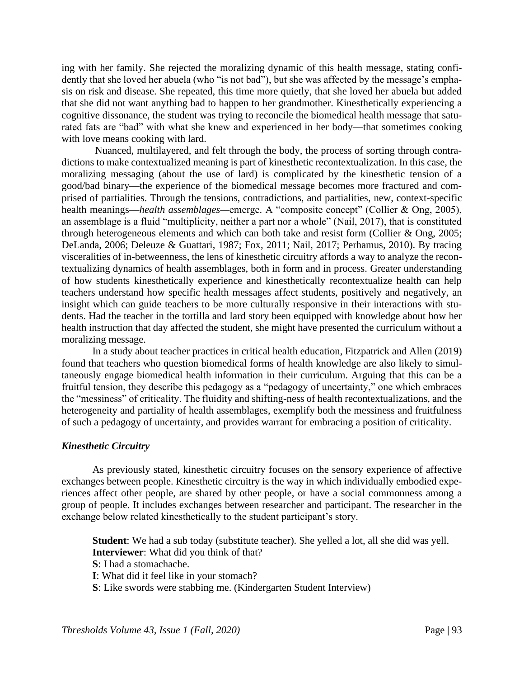ing with her family. She rejected the moralizing dynamic of this health message, stating confidently that she loved her abuela (who "is not bad"), but she was affected by the message's emphasis on risk and disease. She repeated, this time more quietly, that she loved her abuela but added that she did not want anything bad to happen to her grandmother. Kinesthetically experiencing a cognitive dissonance, the student was trying to reconcile the biomedical health message that saturated fats are "bad" with what she knew and experienced in her body—that sometimes cooking with love means cooking with lard.

Nuanced, multilayered, and felt through the body, the process of sorting through contradictions to make contextualized meaning is part of kinesthetic recontextualization. In this case, the moralizing messaging (about the use of lard) is complicated by the kinesthetic tension of a good/bad binary—the experience of the biomedical message becomes more fractured and comprised of partialities. Through the tensions, contradictions, and partialities, new, context-specific health meanings—*health assemblages—*emerge. A "composite concept" (Collier & Ong, 2005), an assemblage is a fluid "multiplicity, neither a part nor a whole" (Nail, 2017), that is constituted through heterogeneous elements and which can both take and resist form (Collier & Ong, 2005; DeLanda, 2006; Deleuze & Guattari, 1987; Fox, 2011; Nail, 2017; Perhamus, 2010). By tracing visceralities of in-betweenness, the lens of kinesthetic circuitry affords a way to analyze the recontextualizing dynamics of health assemblages, both in form and in process. Greater understanding of how students kinesthetically experience and kinesthetically recontextualize health can help teachers understand how specific health messages affect students, positively and negatively, an insight which can guide teachers to be more culturally responsive in their interactions with students. Had the teacher in the tortilla and lard story been equipped with knowledge about how her health instruction that day affected the student, she might have presented the curriculum without a moralizing message.

In a study about teacher practices in critical health education, Fitzpatrick and Allen (2019) found that teachers who question biomedical forms of health knowledge are also likely to simultaneously engage biomedical health information in their curriculum. Arguing that this can be a fruitful tension, they describe this pedagogy as a "pedagogy of uncertainty," one which embraces the "messiness" of criticality. The fluidity and shifting-ness of health recontextualizations, and the heterogeneity and partiality of health assemblages, exemplify both the messiness and fruitfulness of such a pedagogy of uncertainty, and provides warrant for embracing a position of criticality.

## *Kinesthetic Circuitry*

As previously stated, kinesthetic circuitry focuses on the sensory experience of affective exchanges between people. Kinesthetic circuitry is the way in which individually embodied experiences affect other people, are shared by other people, or have a social commonness among a group of people. It includes exchanges between researcher and participant. The researcher in the exchange below related kinesthetically to the student participant's story.

**Student**: We had a sub today (substitute teacher). She yelled a lot, all she did was yell. **Interviewer**: What did you think of that?

- **S**: I had a stomachache.
- **I**: What did it feel like in your stomach?

**S**: Like swords were stabbing me. (Kindergarten Student Interview)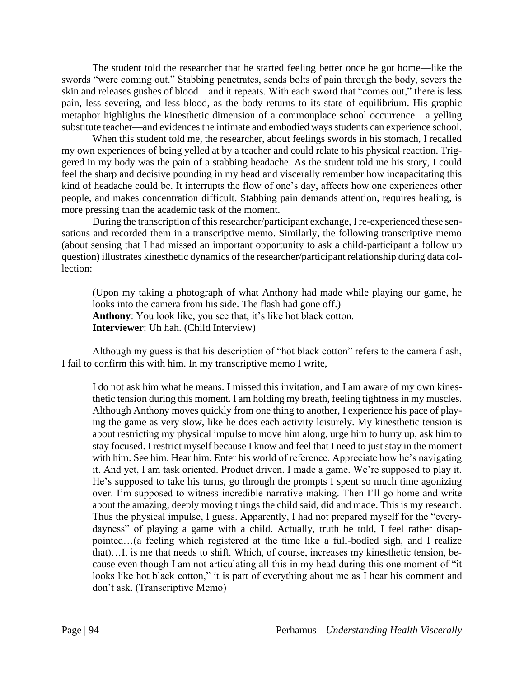The student told the researcher that he started feeling better once he got home—like the swords "were coming out." Stabbing penetrates, sends bolts of pain through the body, severs the skin and releases gushes of blood—and it repeats. With each sword that "comes out," there is less pain, less severing, and less blood, as the body returns to its state of equilibrium. His graphic metaphor highlights the kinesthetic dimension of a commonplace school occurrence—a yelling substitute teacher—and evidences the intimate and embodied ways students can experience school.

When this student told me, the researcher, about feelings swords in his stomach, I recalled my own experiences of being yelled at by a teacher and could relate to his physical reaction. Triggered in my body was the pain of a stabbing headache. As the student told me his story, I could feel the sharp and decisive pounding in my head and viscerally remember how incapacitating this kind of headache could be. It interrupts the flow of one's day, affects how one experiences other people, and makes concentration difficult. Stabbing pain demands attention, requires healing, is more pressing than the academic task of the moment.

During the transcription of this researcher/participant exchange, I re-experienced these sensations and recorded them in a transcriptive memo. Similarly, the following transcriptive memo (about sensing that I had missed an important opportunity to ask a child-participant a follow up question) illustrates kinesthetic dynamics of the researcher/participant relationship during data collection:

(Upon my taking a photograph of what Anthony had made while playing our game, he looks into the camera from his side. The flash had gone off.) **Anthony**: You look like, you see that, it's like hot black cotton. **Interviewer**: Uh hah. (Child Interview)

Although my guess is that his description of "hot black cotton" refers to the camera flash, I fail to confirm this with him. In my transcriptive memo I write,

I do not ask him what he means. I missed this invitation, and I am aware of my own kinesthetic tension during this moment. I am holding my breath, feeling tightness in my muscles. Although Anthony moves quickly from one thing to another, I experience his pace of playing the game as very slow, like he does each activity leisurely. My kinesthetic tension is about restricting my physical impulse to move him along, urge him to hurry up, ask him to stay focused. I restrict myself because I know and feel that I need to just stay in the moment with him. See him. Hear him. Enter his world of reference. Appreciate how he's navigating it. And yet, I am task oriented. Product driven. I made a game. We're supposed to play it. He's supposed to take his turns, go through the prompts I spent so much time agonizing over. I'm supposed to witness incredible narrative making. Then I'll go home and write about the amazing, deeply moving things the child said, did and made. This is my research. Thus the physical impulse, I guess. Apparently, I had not prepared myself for the "everydayness" of playing a game with a child. Actually, truth be told, I feel rather disappointed…(a feeling which registered at the time like a full-bodied sigh, and I realize that)…It is me that needs to shift. Which, of course, increases my kinesthetic tension, because even though I am not articulating all this in my head during this one moment of "it looks like hot black cotton," it is part of everything about me as I hear his comment and don't ask. (Transcriptive Memo)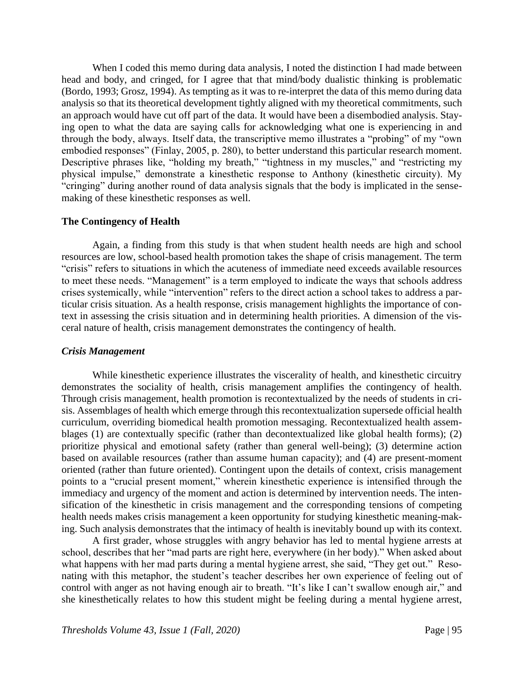When I coded this memo during data analysis, I noted the distinction I had made between head and body, and cringed, for I agree that that mind/body dualistic thinking is problematic (Bordo, 1993; Grosz, 1994). As tempting as it was to re-interpret the data of this memo during data analysis so that its theoretical development tightly aligned with my theoretical commitments, such an approach would have cut off part of the data. It would have been a disembodied analysis. Staying open to what the data are saying calls for acknowledging what one is experiencing in and through the body, always. Itself data, the transcriptive memo illustrates a "probing" of my "own embodied responses" (Finlay, 2005, p. 280), to better understand this particular research moment. Descriptive phrases like, "holding my breath," "tightness in my muscles," and "restricting my physical impulse," demonstrate a kinesthetic response to Anthony (kinesthetic circuity). My "cringing" during another round of data analysis signals that the body is implicated in the sensemaking of these kinesthetic responses as well.

#### **The Contingency of Health**

Again, a finding from this study is that when student health needs are high and school resources are low, school-based health promotion takes the shape of crisis management. The term "crisis" refers to situations in which the acuteness of immediate need exceeds available resources to meet these needs. "Management" is a term employed to indicate the ways that schools address crises systemically, while "intervention" refers to the direct action a school takes to address a particular crisis situation. As a health response, crisis management highlights the importance of context in assessing the crisis situation and in determining health priorities. A dimension of the visceral nature of health, crisis management demonstrates the contingency of health.

#### *Crisis Management*

While kinesthetic experience illustrates the viscerality of health, and kinesthetic circuitry demonstrates the sociality of health, crisis management amplifies the contingency of health. Through crisis management, health promotion is recontextualized by the needs of students in crisis. Assemblages of health which emerge through this recontextualization supersede official health curriculum, overriding biomedical health promotion messaging. Recontextualized health assemblages (1) are contextually specific (rather than decontextualized like global health forms); (2) prioritize physical and emotional safety (rather than general well-being); (3) determine action based on available resources (rather than assume human capacity); and (4) are present-moment oriented (rather than future oriented). Contingent upon the details of context, crisis management points to a "crucial present moment," wherein kinesthetic experience is intensified through the immediacy and urgency of the moment and action is determined by intervention needs. The intensification of the kinesthetic in crisis management and the corresponding tensions of competing health needs makes crisis management a keen opportunity for studying kinesthetic meaning-making. Such analysis demonstrates that the intimacy of health is inevitably bound up with its context.

A first grader, whose struggles with angry behavior has led to mental hygiene arrests at school, describes that her "mad parts are right here, everywhere (in her body)." When asked about what happens with her mad parts during a mental hygiene arrest, she said, "They get out." Resonating with this metaphor, the student's teacher describes her own experience of feeling out of control with anger as not having enough air to breath. "It's like I can't swallow enough air," and she kinesthetically relates to how this student might be feeling during a mental hygiene arrest,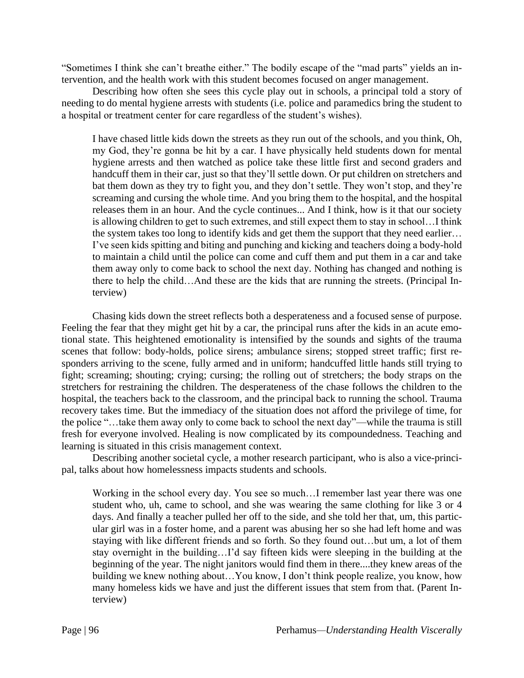"Sometimes I think she can't breathe either." The bodily escape of the "mad parts" yields an intervention, and the health work with this student becomes focused on anger management.

Describing how often she sees this cycle play out in schools, a principal told a story of needing to do mental hygiene arrests with students (i.e. police and paramedics bring the student to a hospital or treatment center for care regardless of the student's wishes).

I have chased little kids down the streets as they run out of the schools, and you think, Oh, my God, they're gonna be hit by a car. I have physically held students down for mental hygiene arrests and then watched as police take these little first and second graders and handcuff them in their car, just so that they'll settle down. Or put children on stretchers and bat them down as they try to fight you, and they don't settle. They won't stop, and they're screaming and cursing the whole time. And you bring them to the hospital, and the hospital releases them in an hour. And the cycle continues... And I think, how is it that our society is allowing children to get to such extremes, and still expect them to stay in school…I think the system takes too long to identify kids and get them the support that they need earlier… I've seen kids spitting and biting and punching and kicking and teachers doing a body-hold to maintain a child until the police can come and cuff them and put them in a car and take them away only to come back to school the next day. Nothing has changed and nothing is there to help the child…And these are the kids that are running the streets. (Principal Interview)

Chasing kids down the street reflects both a desperateness and a focused sense of purpose. Feeling the fear that they might get hit by a car, the principal runs after the kids in an acute emotional state. This heightened emotionality is intensified by the sounds and sights of the trauma scenes that follow: body-holds, police sirens; ambulance sirens; stopped street traffic; first responders arriving to the scene, fully armed and in uniform; handcuffed little hands still trying to fight; screaming; shouting; crying; cursing; the rolling out of stretchers; the body straps on the stretchers for restraining the children. The desperateness of the chase follows the children to the hospital, the teachers back to the classroom, and the principal back to running the school. Trauma recovery takes time. But the immediacy of the situation does not afford the privilege of time, for the police "…take them away only to come back to school the next day"—while the trauma is still fresh for everyone involved. Healing is now complicated by its compoundedness. Teaching and learning is situated in this crisis management context.

Describing another societal cycle, a mother research participant, who is also a vice-principal, talks about how homelessness impacts students and schools.

Working in the school every day. You see so much…I remember last year there was one student who, uh, came to school, and she was wearing the same clothing for like 3 or 4 days. And finally a teacher pulled her off to the side, and she told her that, um, this particular girl was in a foster home, and a parent was abusing her so she had left home and was staying with like different friends and so forth. So they found out…but um, a lot of them stay overnight in the building…I'd say fifteen kids were sleeping in the building at the beginning of the year. The night janitors would find them in there....they knew areas of the building we knew nothing about…You know, I don't think people realize, you know, how many homeless kids we have and just the different issues that stem from that. (Parent Interview)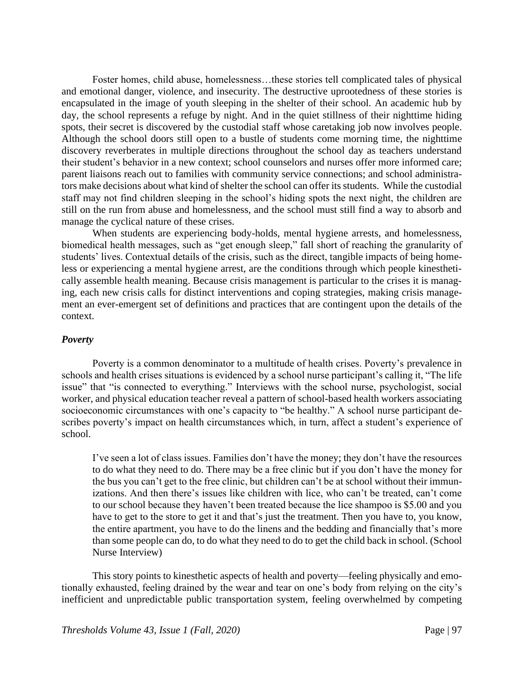Foster homes, child abuse, homelessness…these stories tell complicated tales of physical and emotional danger, violence, and insecurity. The destructive uprootedness of these stories is encapsulated in the image of youth sleeping in the shelter of their school. An academic hub by day, the school represents a refuge by night. And in the quiet stillness of their nighttime hiding spots, their secret is discovered by the custodial staff whose caretaking job now involves people. Although the school doors still open to a bustle of students come morning time, the nighttime discovery reverberates in multiple directions throughout the school day as teachers understand their student's behavior in a new context; school counselors and nurses offer more informed care; parent liaisons reach out to families with community service connections; and school administrators make decisions about what kind of shelter the school can offer its students. While the custodial staff may not find children sleeping in the school's hiding spots the next night, the children are still on the run from abuse and homelessness, and the school must still find a way to absorb and manage the cyclical nature of these crises.

When students are experiencing body-holds, mental hygiene arrests, and homelessness, biomedical health messages, such as "get enough sleep," fall short of reaching the granularity of students' lives. Contextual details of the crisis, such as the direct, tangible impacts of being homeless or experiencing a mental hygiene arrest, are the conditions through which people kinesthetically assemble health meaning. Because crisis management is particular to the crises it is managing, each new crisis calls for distinct interventions and coping strategies, making crisis management an ever-emergent set of definitions and practices that are contingent upon the details of the context.

#### *Poverty*

Poverty is a common denominator to a multitude of health crises. Poverty's prevalence in schools and health crises situations is evidenced by a school nurse participant's calling it, "The life issue" that "is connected to everything." Interviews with the school nurse, psychologist, social worker, and physical education teacher reveal a pattern of school-based health workers associating socioeconomic circumstances with one's capacity to "be healthy." A school nurse participant describes poverty's impact on health circumstances which, in turn, affect a student's experience of school.

I've seen a lot of class issues. Families don't have the money; they don't have the resources to do what they need to do. There may be a free clinic but if you don't have the money for the bus you can't get to the free clinic, but children can't be at school without their immunizations. And then there's issues like children with lice, who can't be treated, can't come to our school because they haven't been treated because the lice shampoo is \$5.00 and you have to get to the store to get it and that's just the treatment. Then you have to, you know, the entire apartment, you have to do the linens and the bedding and financially that's more than some people can do, to do what they need to do to get the child back in school. (School Nurse Interview)

This story points to kinesthetic aspects of health and poverty—feeling physically and emotionally exhausted, feeling drained by the wear and tear on one's body from relying on the city's inefficient and unpredictable public transportation system, feeling overwhelmed by competing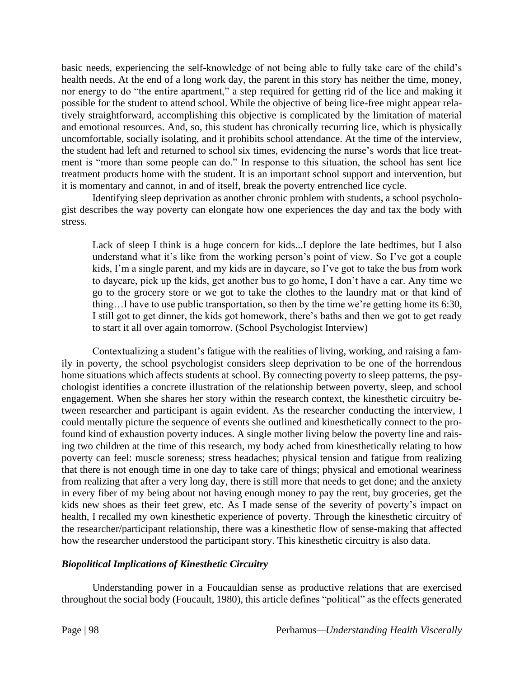basic needs, experiencing the self-knowledge of not being able to fully take care of the child's health needs. At the end of a long work day, the parent in this story has neither the time, money, nor energy to do "the entire apartment," a step required for getting rid of the lice and making it possible for the student to attend school. While the objective of being lice-free might appear relatively straightforward, accomplishing this objective is complicated by the limitation of material and emotional resources. And, so, this student has chronically recurring lice, which is physically uncomfortable, socially isolating, and it prohibits school attendance. At the time of the interview, the student had left and returned to school six times, evidencing the nurse's words that lice treatment is "more than some people can do." In response to this situation, the school has sent lice treatment products home with the student. It is an important school support and intervention, but it is momentary and cannot, in and of itself, break the poverty entrenched lice cycle.

Identifying sleep deprivation as another chronic problem with students, a school psychologist describes the way poverty can elongate how one experiences the day and tax the body with stress.

Lack of sleep I think is a huge concern for kids...I deplore the late bedtimes, but I also understand what it's like from the working person's point of view. So I've got a couple kids, I'm a single parent, and my kids are in daycare, so I've got to take the bus from work to daycare, pick up the kids, get another bus to go home, I don't have a car. Any time we go to the grocery store or we got to take the clothes to the laundry mat or that kind of thing…I have to use public transportation, so then by the time we're getting home its 6:30, I still got to get dinner, the kids got homework, there's baths and then we got to get ready to start it all over again tomorrow. (School Psychologist Interview)

Contextualizing a student's fatigue with the realities of living, working, and raising a family in poverty, the school psychologist considers sleep deprivation to be one of the horrendous home situations which affects students at school. By connecting poverty to sleep patterns, the psychologist identifies a concrete illustration of the relationship between poverty, sleep, and school engagement. When she shares her story within the research context, the kinesthetic circuitry between researcher and participant is again evident. As the researcher conducting the interview, I could mentally picture the sequence of events she outlined and kinesthetically connect to the profound kind of exhaustion poverty induces. A single mother living below the poverty line and raising two children at the time of this research, my body ached from kinesthetically relating to how poverty can feel: muscle soreness; stress headaches; physical tension and fatigue from realizing that there is not enough time in one day to take care of things; physical and emotional weariness from realizing that after a very long day, there is still more that needs to get done; and the anxiety in every fiber of my being about not having enough money to pay the rent, buy groceries, get the kids new shoes as their feet grew, etc. As I made sense of the severity of poverty's impact on health, I recalled my own kinesthetic experience of poverty. Through the kinesthetic circuitry of the researcher/participant relationship, there was a kinesthetic flow of sense-making that affected how the researcher understood the participant story. This kinesthetic circuitry is also data.

## *Biopolitical Implications of Kinesthetic Circuitry*

Understanding power in a Foucauldian sense as productive relations that are exercised throughout the social body (Foucault, 1980), this article defines "political" as the effects generated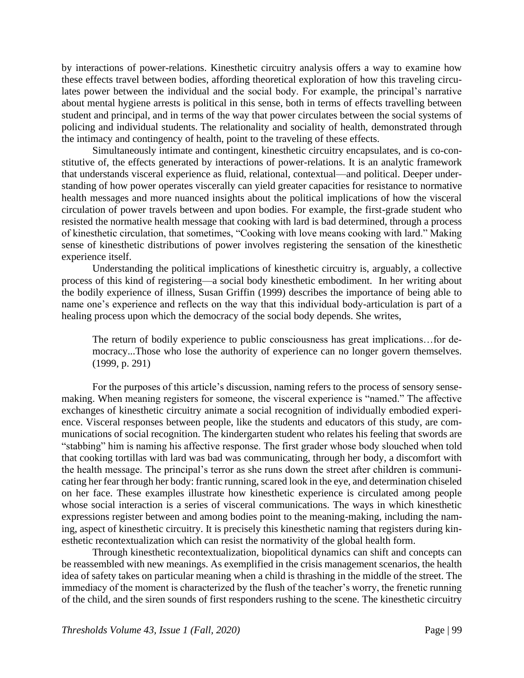by interactions of power-relations. Kinesthetic circuitry analysis offers a way to examine how these effects travel between bodies, affording theoretical exploration of how this traveling circulates power between the individual and the social body. For example, the principal's narrative about mental hygiene arrests is political in this sense, both in terms of effects travelling between student and principal, and in terms of the way that power circulates between the social systems of policing and individual students. The relationality and sociality of health, demonstrated through the intimacy and contingency of health, point to the traveling of these effects.

Simultaneously intimate and contingent, kinesthetic circuitry encapsulates, and is co-constitutive of, the effects generated by interactions of power-relations. It is an analytic framework that understands visceral experience as fluid, relational, contextual—and political. Deeper understanding of how power operates viscerally can yield greater capacities for resistance to normative health messages and more nuanced insights about the political implications of how the visceral circulation of power travels between and upon bodies. For example, the first-grade student who resisted the normative health message that cooking with lard is bad determined, through a process of kinesthetic circulation, that sometimes, "Cooking with love means cooking with lard." Making sense of kinesthetic distributions of power involves registering the sensation of the kinesthetic experience itself.

Understanding the political implications of kinesthetic circuitry is, arguably, a collective process of this kind of registering—a social body kinesthetic embodiment. In her writing about the bodily experience of illness, Susan Griffin (1999) describes the importance of being able to name one's experience and reflects on the way that this individual body-articulation is part of a healing process upon which the democracy of the social body depends. She writes,

The return of bodily experience to public consciousness has great implications…for democracy...Those who lose the authority of experience can no longer govern themselves. (1999, p. 291)

For the purposes of this article's discussion, naming refers to the process of sensory sensemaking. When meaning registers for someone, the visceral experience is "named." The affective exchanges of kinesthetic circuitry animate a social recognition of individually embodied experience. Visceral responses between people, like the students and educators of this study, are communications of social recognition. The kindergarten student who relates his feeling that swords are "stabbing" him is naming his affective response. The first grader whose body slouched when told that cooking tortillas with lard was bad was communicating, through her body, a discomfort with the health message. The principal's terror as she runs down the street after children is communicating her fear through her body: frantic running, scared look in the eye, and determination chiseled on her face. These examples illustrate how kinesthetic experience is circulated among people whose social interaction is a series of visceral communications. The ways in which kinesthetic expressions register between and among bodies point to the meaning-making, including the naming, aspect of kinesthetic circuitry. It is precisely this kinesthetic naming that registers during kinesthetic recontextualization which can resist the normativity of the global health form.

Through kinesthetic recontextualization, biopolitical dynamics can shift and concepts can be reassembled with new meanings. As exemplified in the crisis management scenarios, the health idea of safety takes on particular meaning when a child is thrashing in the middle of the street. The immediacy of the moment is characterized by the flush of the teacher's worry, the frenetic running of the child, and the siren sounds of first responders rushing to the scene. The kinesthetic circuitry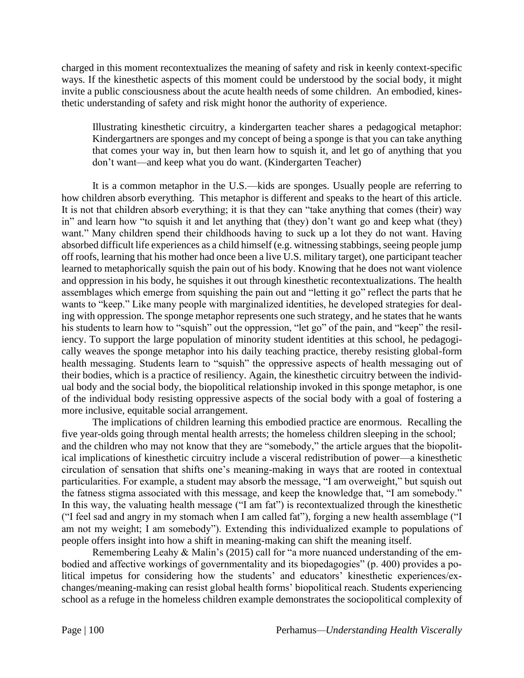charged in this moment recontextualizes the meaning of safety and risk in keenly context-specific ways. If the kinesthetic aspects of this moment could be understood by the social body, it might invite a public consciousness about the acute health needs of some children. An embodied, kinesthetic understanding of safety and risk might honor the authority of experience.

Illustrating kinesthetic circuitry, a kindergarten teacher shares a pedagogical metaphor: Kindergartners are sponges and my concept of being a sponge is that you can take anything that comes your way in, but then learn how to squish it, and let go of anything that you don't want—and keep what you do want. (Kindergarten Teacher)

It is a common metaphor in the U.S.—kids are sponges. Usually people are referring to how children absorb everything. This metaphor is different and speaks to the heart of this article. It is not that children absorb everything; it is that they can "take anything that comes (their) way in" and learn how "to squish it and let anything that (they) don't want go and keep what (they) want." Many children spend their childhoods having to suck up a lot they do not want. Having absorbed difficult life experiences as a child himself (e.g. witnessing stabbings, seeing people jump off roofs, learning that his mother had once been a live U.S. military target), one participant teacher learned to metaphorically squish the pain out of his body. Knowing that he does not want violence and oppression in his body, he squishes it out through kinesthetic recontextualizations. The health assemblages which emerge from squishing the pain out and "letting it go" reflect the parts that he wants to "keep." Like many people with marginalized identities, he developed strategies for dealing with oppression. The sponge metaphor represents one such strategy, and he states that he wants his students to learn how to "squish" out the oppression, "let go" of the pain, and "keep" the resiliency. To support the large population of minority student identities at this school, he pedagogically weaves the sponge metaphor into his daily teaching practice, thereby resisting global-form health messaging. Students learn to "squish" the oppressive aspects of health messaging out of their bodies, which is a practice of resiliency. Again, the kinesthetic circuitry between the individual body and the social body, the biopolitical relationship invoked in this sponge metaphor, is one of the individual body resisting oppressive aspects of the social body with a goal of fostering a more inclusive, equitable social arrangement.

The implications of children learning this embodied practice are enormous. Recalling the five year-olds going through mental health arrests; the homeless children sleeping in the school; and the children who may not know that they are "somebody," the article argues that the biopolitical implications of kinesthetic circuitry include a visceral redistribution of power—a kinesthetic circulation of sensation that shifts one's meaning-making in ways that are rooted in contextual particularities. For example, a student may absorb the message, "I am overweight," but squish out the fatness stigma associated with this message, and keep the knowledge that, "I am somebody." In this way, the valuating health message ("I am fat") is recontextualized through the kinesthetic ("I feel sad and angry in my stomach when I am called fat"), forging a new health assemblage ("I am not my weight; I am somebody"). Extending this individualized example to populations of people offers insight into how a shift in meaning-making can shift the meaning itself.

Remembering Leahy & Malin's (2015) call for "a more nuanced understanding of the embodied and affective workings of governmentality and its biopedagogies" (p. 400) provides a political impetus for considering how the students' and educators' kinesthetic experiences/exchanges/meaning-making can resist global health forms' biopolitical reach. Students experiencing school as a refuge in the homeless children example demonstrates the sociopolitical complexity of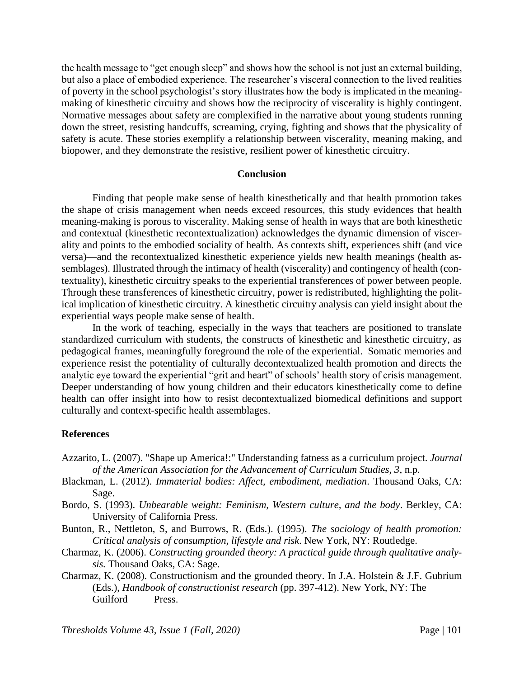the health message to "get enough sleep" and shows how the school is not just an external building, but also a place of embodied experience. The researcher's visceral connection to the lived realities of poverty in the school psychologist's story illustrates how the body is implicated in the meaningmaking of kinesthetic circuitry and shows how the reciprocity of viscerality is highly contingent. Normative messages about safety are complexified in the narrative about young students running down the street, resisting handcuffs, screaming, crying, fighting and shows that the physicality of safety is acute. These stories exemplify a relationship between viscerality, meaning making, and biopower, and they demonstrate the resistive, resilient power of kinesthetic circuitry.

#### **Conclusion**

Finding that people make sense of health kinesthetically and that health promotion takes the shape of crisis management when needs exceed resources, this study evidences that health meaning-making is porous to viscerality. Making sense of health in ways that are both kinesthetic and contextual (kinesthetic recontextualization) acknowledges the dynamic dimension of viscerality and points to the embodied sociality of health. As contexts shift, experiences shift (and vice versa)—and the recontextualized kinesthetic experience yields new health meanings (health assemblages). Illustrated through the intimacy of health (viscerality) and contingency of health (contextuality), kinesthetic circuitry speaks to the experiential transferences of power between people. Through these transferences of kinesthetic circuitry, power is redistributed, highlighting the political implication of kinesthetic circuitry. A kinesthetic circuitry analysis can yield insight about the experiential ways people make sense of health.

In the work of teaching, especially in the ways that teachers are positioned to translate standardized curriculum with students, the constructs of kinesthetic and kinesthetic circuitry, as pedagogical frames, meaningfully foreground the role of the experiential. Somatic memories and experience resist the potentiality of culturally decontextualized health promotion and directs the analytic eye toward the experiential "grit and heart" of schools' health story of crisis management. Deeper understanding of how young children and their educators kinesthetically come to define health can offer insight into how to resist decontextualized biomedical definitions and support culturally and context-specific health assemblages.

#### **References**

- Azzarito, L. (2007). "Shape up America!:" Understanding fatness as a curriculum project. *Journal of the American Association for the Advancement of Curriculum Studies, 3*, n.p.
- Blackman, L. (2012). *Immaterial bodies: Affect, embodiment, mediation*. Thousand Oaks, CA: Sage.
- Bordo, S. (1993). *Unbearable weight: Feminism, Western culture, and the body*. Berkley, CA: University of California Press.
- Bunton, R., Nettleton, S, and Burrows, R. (Eds.). (1995). *The sociology of health promotion: Critical analysis of consumption, lifestyle and risk*. New York, NY: Routledge.
- Charmaz, K. (2006). *Constructing grounded theory: A practical guide through qualitative analysis.* Thousand Oaks, CA: Sage.
- Charmaz, K. (2008). Constructionism and the grounded theory. In J.A. Holstein & J.F. Gubrium (Eds.), *Handbook of constructionist research* (pp. 397-412). New York, NY: The Guilford Press.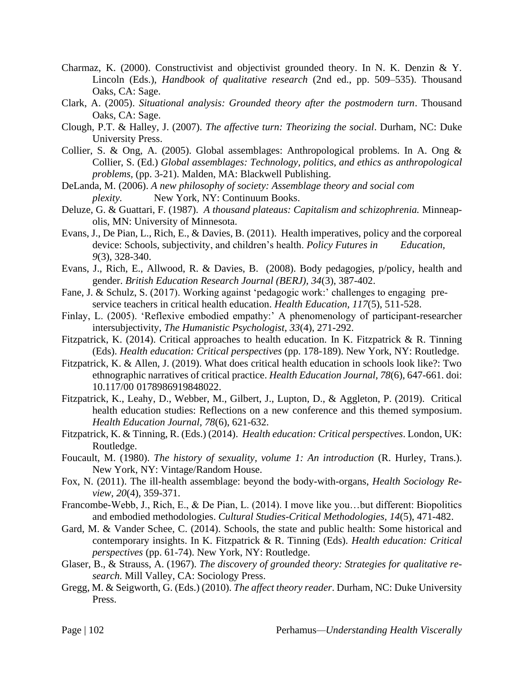- Charmaz, K. (2000). Constructivist and objectivist grounded theory. In N. K. Denzin & Y. Lincoln (Eds.), *Handbook of qualitative research* (2nd ed., pp. 509–535). Thousand Oaks, CA: Sage.
- Clark, A. (2005). *Situational analysis: Grounded theory after the postmodern turn*. Thousand Oaks, CA: Sage.
- Clough, P.T. & Halley, J. (2007). *The affective turn: Theorizing the social*. Durham, NC: Duke University Press.
- Collier, S. & Ong, A. (2005). Global assemblages: Anthropological problems. In A. Ong & Collier, S. (Ed.) *Global assemblages: Technology, politics, and ethics as anthropological problems,* (pp. 3-21). Malden, MA: Blackwell Publishing.
- DeLanda, M. (2006). *A new philosophy of society: Assemblage theory and social com plexity.* New York, NY: Continuum Books.
- Deluze, G. & Guattari, F. (1987). *A thousand plateaus: Capitalism and schizophrenia.* Minneapolis, MN: University of Minnesota.
- Evans, J., De Pian, L., Rich, E., & Davies, B. (2011). Health imperatives, policy and the corporeal device: Schools, subjectivity, and children's health. *Policy Futures in Education*, *9*(3), 328-340.
- Evans, J., Rich, E., Allwood, R. & Davies, B. (2008). Body pedagogies, p/policy, health and gender. *British Education Research Journal (BERJ), 34*(3), 387-402.
- Fane, J. & Schulz, S. (2017). Working against 'pedagogic work:' challenges to engaging preservice teachers in critical health education. *Health Education, 117*(5), 511-528.
- Finlay, L. (2005). 'Reflexive embodied empathy:' A phenomenology of participant-researcher intersubjectivity, *The Humanistic Psychologist, 33*(4), 271-292.
- Fitzpatrick, K. (2014). Critical approaches to health education. In K. Fitzpatrick & R. Tinning (Eds). *Health education: Critical perspectives* (pp. 178-189). New York, NY: Routledge.
- Fitzpatrick, K. & Allen, J. (2019). What does critical health education in schools look like?: Two ethnographic narratives of critical practice. *Health Education Journal, 78*(6), 647-661. doi: 10.117/00 0178986919848022.
- Fitzpatrick, K., Leahy, D., Webber, M., Gilbert, J., Lupton, D., & Aggleton, P. (2019). Critical health education studies: Reflections on a new conference and this themed symposium. *Health Education Journal, 78*(6), 621-632.
- Fitzpatrick, K. & Tinning, R. (Eds.) (2014). *Health education: Critical perspectives*. London, UK: Routledge.
- Foucault, M. (1980). *The history of sexuality, volume 1: An introduction* (R. Hurley, Trans.). New York, NY: Vintage/Random House.
- Fox, N. (2011). The ill-health assemblage: beyond the body-with-organs, *Health Sociology Review, 20*(4), 359-371.
- Francombe-Webb, J., Rich, E., & De Pian, L. (2014). I move like you…but different: Biopolitics and embodied methodologies. *Cultural Studies-Critical Methodologies, 14*(5), 471-482.
- Gard, M. & Vander Schee, C. (2014). Schools, the state and public health: Some historical and contemporary insights. In K. Fitzpatrick & R. Tinning (Eds). *Health education: Critical perspectives* (pp. 61-74). New York, NY: Routledge.
- Glaser, B., & Strauss, A. (1967). *The discovery of grounded theory: Strategies for qualitative research.* Mill Valley, CA: Sociology Press.
- Gregg, M. & Seigworth, G. (Eds.) (2010). *The affect theory reader*. Durham, NC: Duke University Press.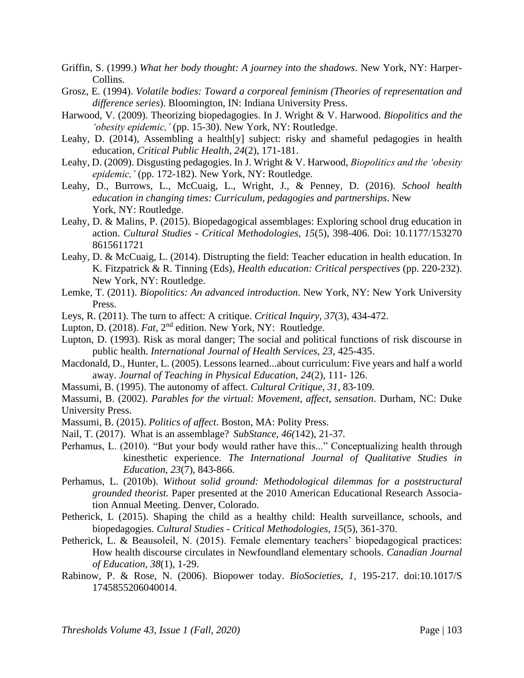- Griffin, S. (1999.) *What her body thought: A journey into the shadows*. New York, NY: Harper-Collins.
- Grosz, E. (1994). *Volatile bodies: Toward a corporeal feminism (Theories of representation and difference series*). Bloomington, IN: Indiana University Press.
- Harwood, V. (2009). Theorizing biopedagogies. In J. Wright & V. Harwood. *Biopolitics and the 'obesity epidemic,'* (pp. 15-30). New York, NY: Routledge.
- Leahy, D. (2014), Assembling a health[y] subject: risky and shameful pedagogies in health education, *Critical Public Health*, *24*(2), 171-181.
- Leahy, D. (2009). Disgusting pedagogies. In J. Wright & V. Harwood, *Biopolitics and the 'obesity epidemic,'* (pp. 172-182). New York, NY: Routledge.
- Leahy, D., Burrows, L., McCuaig, L., Wright, J., & Penney, D. (2016). *School health education in changing times: Curriculum, pedagogies and partnerships*. New York, NY: Routledge.
- Leahy, D. & Malins, P. (2015). Biopedagogical assemblages: Exploring school drug education in action. *Cultural Studies - Critical Methodologies, 15*(5), 398-406. Doi: 10.1177/153270 8615611721
- Leahy, D. & McCuaig, L. (2014). Distrupting the field: Teacher education in health education. In K. Fitzpatrick & R. Tinning (Eds), *Health education: Critical perspectives* (pp. 220-232). New York, NY: Routledge.
- Lemke, T. (2011). *Biopolitics: An advanced introduction*. New York, NY: New York University Press.
- Leys, R. (2011). The turn to affect: A critique. *Critical Inquiry, 37*(3), 434-472.
- Lupton, D. (2018). *Fat*, 2<sup>nd</sup> edition. New York, NY: Routledge.
- Lupton, D. (1993). Risk as moral danger; The social and political functions of risk discourse in public health. *International Journal of Health Services, 23*, 425-435.
- Macdonald, D., Hunter, L. (2005). Lessons learned...about curriculum: Five years and half a world away. *Journal of Teaching in Physical Education, 24*(2), 111- 126.
- Massumi, B. (1995). The autonomy of affect. *Cultural Critique, 31*, 83-109.

Massumi, B. (2002). *Parables for the virtual: Movement, affect, sensation*. Durham, NC: Duke University Press.

- Massumi, B. (2015). *Politics of affect*. Boston, MA: Polity Press.
- Nail, T. (2017). What is an assemblage? *SubStance, 46(*142), 21-37*.*
- Perhamus, L. (2010). "But your body would rather have this..." Conceptualizing health through kinesthetic experience. *The International Journal of Qualitative Studies in Education, 23*(7), 843-866.
- Perhamus, L. (2010b). *Without solid ground: Methodological dilemmas for a poststructural grounded theorist.* Paper presented at the 2010 American Educational Research Association Annual Meeting. Denver, Colorado.
- Petherick, L (2015). Shaping the child as a healthy child: Health surveillance, schools, and biopedagogies. *Cultural Studies - Critical Methodologies*, *15*(5), 361-370.
- Petherick, L. & Beausoleil, N. (2015). Female elementary teachers' biopedagogical practices: How health discourse circulates in Newfoundland elementary schools. *Canadian Journal of Education, 38*(1), 1-29.
- Rabinow, P. & Rose, N. (2006). Biopower today. *BioSocieties, 1*, 195-217. doi:10.1017/S 1745855206040014.